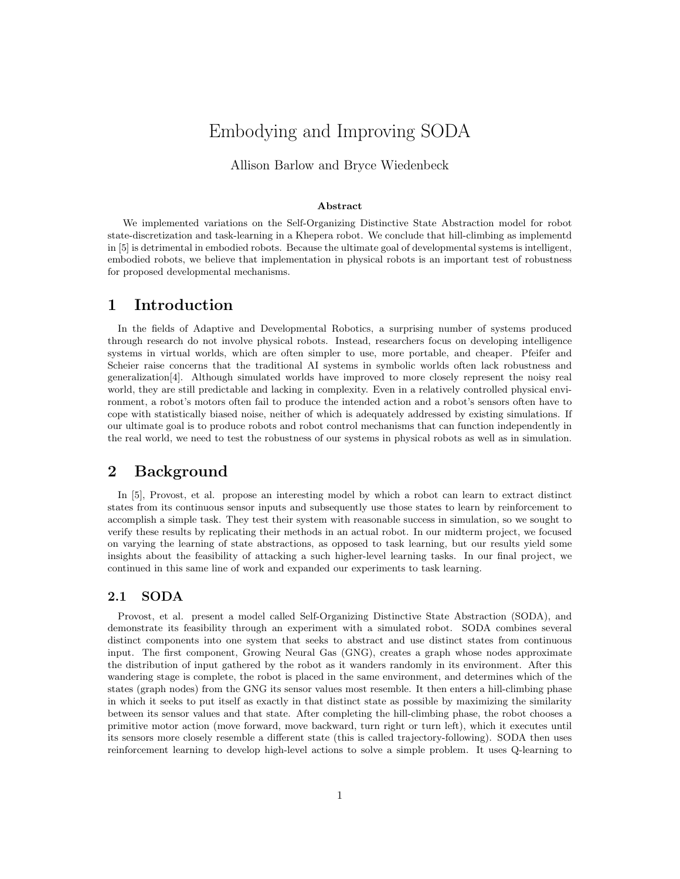# Embodying and Improving SODA

### Allison Barlow and Bryce Wiedenbeck

#### Abstract

We implemented variations on the Self-Organizing Distinctive State Abstraction model for robot state-discretization and task-learning in a Khepera robot. We conclude that hill-climbing as implementd in [5] is detrimental in embodied robots. Because the ultimate goal of developmental systems is intelligent, embodied robots, we believe that implementation in physical robots is an important test of robustness for proposed developmental mechanisms.

### 1 Introduction

In the fields of Adaptive and Developmental Robotics, a surprising number of systems produced through research do not involve physical robots. Instead, researchers focus on developing intelligence systems in virtual worlds, which are often simpler to use, more portable, and cheaper. Pfeifer and Scheier raise concerns that the traditional AI systems in symbolic worlds often lack robustness and generalization[4]. Although simulated worlds have improved to more closely represent the noisy real world, they are still predictable and lacking in complexity. Even in a relatively controlled physical environment, a robot's motors often fail to produce the intended action and a robot's sensors often have to cope with statistically biased noise, neither of which is adequately addressed by existing simulations. If our ultimate goal is to produce robots and robot control mechanisms that can function independently in the real world, we need to test the robustness of our systems in physical robots as well as in simulation.

# 2 Background

In [5], Provost, et al. propose an interesting model by which a robot can learn to extract distinct states from its continuous sensor inputs and subsequently use those states to learn by reinforcement to accomplish a simple task. They test their system with reasonable success in simulation, so we sought to verify these results by replicating their methods in an actual robot. In our midterm project, we focused on varying the learning of state abstractions, as opposed to task learning, but our results yield some insights about the feasibility of attacking a such higher-level learning tasks. In our final project, we continued in this same line of work and expanded our experiments to task learning.

#### 2.1 SODA

Provost, et al. present a model called Self-Organizing Distinctive State Abstraction (SODA), and demonstrate its feasibility through an experiment with a simulated robot. SODA combines several distinct components into one system that seeks to abstract and use distinct states from continuous input. The first component, Growing Neural Gas (GNG), creates a graph whose nodes approximate the distribution of input gathered by the robot as it wanders randomly in its environment. After this wandering stage is complete, the robot is placed in the same environment, and determines which of the states (graph nodes) from the GNG its sensor values most resemble. It then enters a hill-climbing phase in which it seeks to put itself as exactly in that distinct state as possible by maximizing the similarity between its sensor values and that state. After completing the hill-climbing phase, the robot chooses a primitive motor action (move forward, move backward, turn right or turn left), which it executes until its sensors more closely resemble a different state (this is called trajectory-following). SODA then uses reinforcement learning to develop high-level actions to solve a simple problem. It uses Q-learning to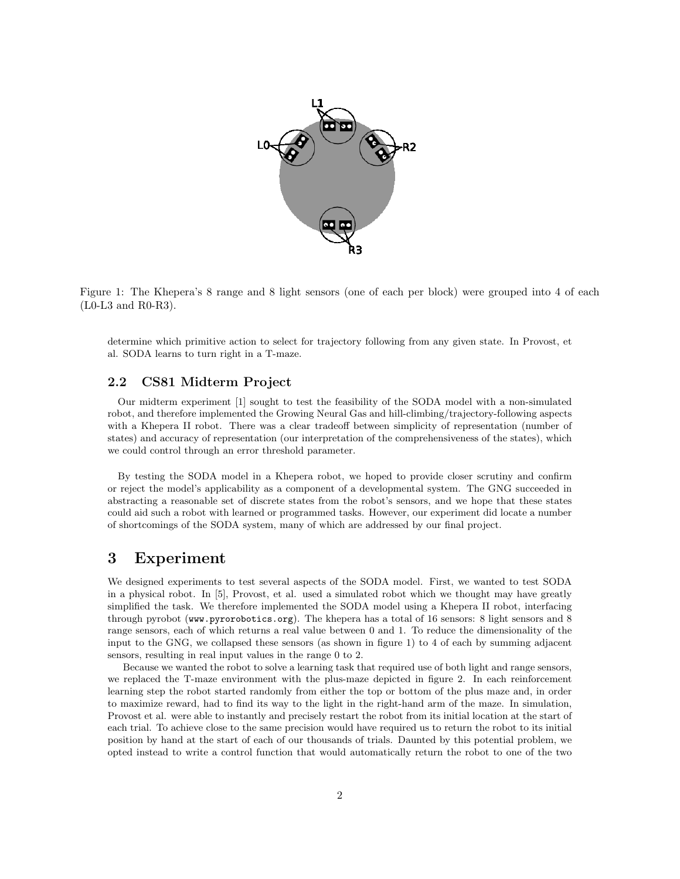

Figure 1: The Khepera's 8 range and 8 light sensors (one of each per block) were grouped into 4 of each (L0-L3 and R0-R3).

determine which primitive action to select for trajectory following from any given state. In Provost, et al. SODA learns to turn right in a T-maze.

#### 2.2 CS81 Midterm Project

Our midterm experiment [1] sought to test the feasibility of the SODA model with a non-simulated robot, and therefore implemented the Growing Neural Gas and hill-climbing/trajectory-following aspects with a Khepera II robot. There was a clear tradeoff between simplicity of representation (number of states) and accuracy of representation (our interpretation of the comprehensiveness of the states), which we could control through an error threshold parameter.

By testing the SODA model in a Khepera robot, we hoped to provide closer scrutiny and confirm or reject the model's applicability as a component of a developmental system. The GNG succeeded in abstracting a reasonable set of discrete states from the robot's sensors, and we hope that these states could aid such a robot with learned or programmed tasks. However, our experiment did locate a number of shortcomings of the SODA system, many of which are addressed by our final project.

### 3 Experiment

We designed experiments to test several aspects of the SODA model. First, we wanted to test SODA in a physical robot. In [5], Provost, et al. used a simulated robot which we thought may have greatly simplified the task. We therefore implemented the SODA model using a Khepera II robot, interfacing through pyrobot (www.pyrorobotics.org). The khepera has a total of 16 sensors: 8 light sensors and 8 range sensors, each of which returns a real value between 0 and 1. To reduce the dimensionality of the input to the GNG, we collapsed these sensors (as shown in figure 1) to 4 of each by summing adjacent sensors, resulting in real input values in the range 0 to 2.

Because we wanted the robot to solve a learning task that required use of both light and range sensors, we replaced the T-maze environment with the plus-maze depicted in figure 2. In each reinforcement learning step the robot started randomly from either the top or bottom of the plus maze and, in order to maximize reward, had to find its way to the light in the right-hand arm of the maze. In simulation, Provost et al. were able to instantly and precisely restart the robot from its initial location at the start of each trial. To achieve close to the same precision would have required us to return the robot to its initial position by hand at the start of each of our thousands of trials. Daunted by this potential problem, we opted instead to write a control function that would automatically return the robot to one of the two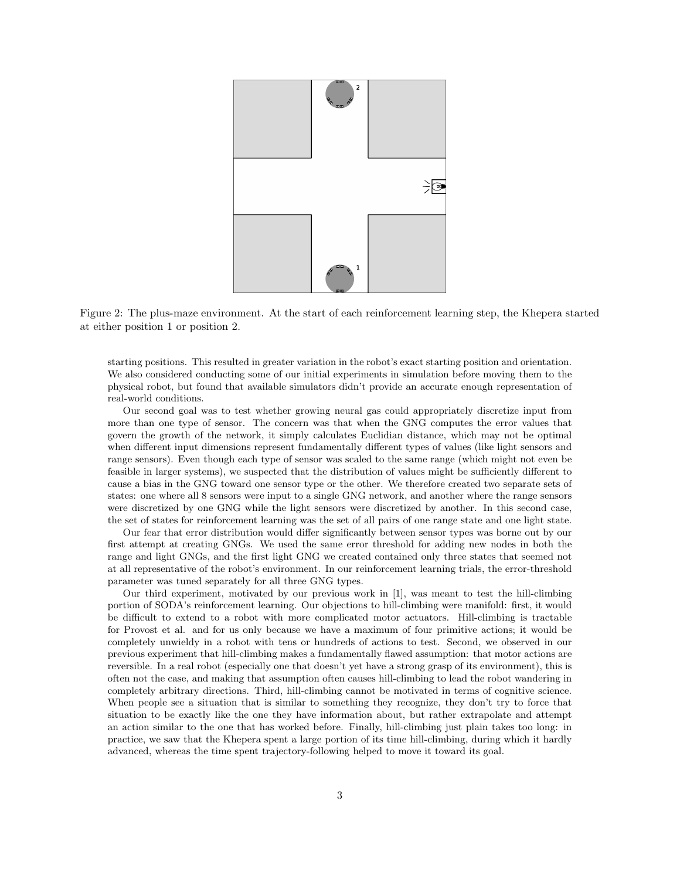

Figure 2: The plus-maze environment. At the start of each reinforcement learning step, the Khepera started at either position 1 or position 2.

starting positions. This resulted in greater variation in the robot's exact starting position and orientation. We also considered conducting some of our initial experiments in simulation before moving them to the physical robot, but found that available simulators didn't provide an accurate enough representation of real-world conditions.

Our second goal was to test whether growing neural gas could appropriately discretize input from more than one type of sensor. The concern was that when the GNG computes the error values that govern the growth of the network, it simply calculates Euclidian distance, which may not be optimal when different input dimensions represent fundamentally different types of values (like light sensors and range sensors). Even though each type of sensor was scaled to the same range (which might not even be feasible in larger systems), we suspected that the distribution of values might be sufficiently different to cause a bias in the GNG toward one sensor type or the other. We therefore created two separate sets of states: one where all 8 sensors were input to a single GNG network, and another where the range sensors were discretized by one GNG while the light sensors were discretized by another. In this second case, the set of states for reinforcement learning was the set of all pairs of one range state and one light state.

Our fear that error distribution would differ significantly between sensor types was borne out by our first attempt at creating GNGs. We used the same error threshold for adding new nodes in both the range and light GNGs, and the first light GNG we created contained only three states that seemed not at all representative of the robot's environment. In our reinforcement learning trials, the error-threshold parameter was tuned separately for all three GNG types.

Our third experiment, motivated by our previous work in [1], was meant to test the hill-climbing portion of SODA's reinforcement learning. Our objections to hill-climbing were manifold: first, it would be difficult to extend to a robot with more complicated motor actuators. Hill-climbing is tractable for Provost et al. and for us only because we have a maximum of four primitive actions; it would be completely unwieldy in a robot with tens or hundreds of actions to test. Second, we observed in our previous experiment that hill-climbing makes a fundamentally flawed assumption: that motor actions are reversible. In a real robot (especially one that doesn't yet have a strong grasp of its environment), this is often not the case, and making that assumption often causes hill-climbing to lead the robot wandering in completely arbitrary directions. Third, hill-climbing cannot be motivated in terms of cognitive science. When people see a situation that is similar to something they recognize, they don't try to force that situation to be exactly like the one they have information about, but rather extrapolate and attempt an action similar to the one that has worked before. Finally, hill-climbing just plain takes too long: in practice, we saw that the Khepera spent a large portion of its time hill-climbing, during which it hardly advanced, whereas the time spent trajectory-following helped to move it toward its goal.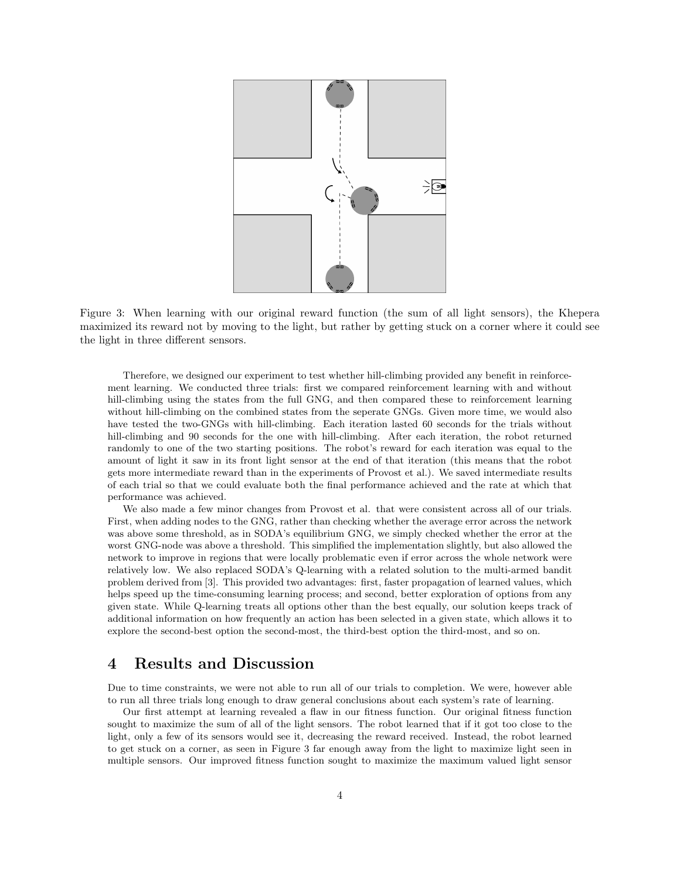

Figure 3: When learning with our original reward function (the sum of all light sensors), the Khepera maximized its reward not by moving to the light, but rather by getting stuck on a corner where it could see the light in three different sensors.

Therefore, we designed our experiment to test whether hill-climbing provided any benefit in reinforcement learning. We conducted three trials: first we compared reinforcement learning with and without hill-climbing using the states from the full GNG, and then compared these to reinforcement learning without hill-climbing on the combined states from the seperate GNGs. Given more time, we would also have tested the two-GNGs with hill-climbing. Each iteration lasted 60 seconds for the trials without hill-climbing and 90 seconds for the one with hill-climbing. After each iteration, the robot returned randomly to one of the two starting positions. The robot's reward for each iteration was equal to the amount of light it saw in its front light sensor at the end of that iteration (this means that the robot gets more intermediate reward than in the experiments of Provost et al.). We saved intermediate results of each trial so that we could evaluate both the final performance achieved and the rate at which that performance was achieved.

We also made a few minor changes from Provost et al. that were consistent across all of our trials. First, when adding nodes to the GNG, rather than checking whether the average error across the network was above some threshold, as in SODA's equilibrium GNG, we simply checked whether the error at the worst GNG-node was above a threshold. This simplified the implementation slightly, but also allowed the network to improve in regions that were locally problematic even if error across the whole network were relatively low. We also replaced SODA's Q-learning with a related solution to the multi-armed bandit problem derived from [3]. This provided two advantages: first, faster propagation of learned values, which helps speed up the time-consuming learning process; and second, better exploration of options from any given state. While Q-learning treats all options other than the best equally, our solution keeps track of additional information on how frequently an action has been selected in a given state, which allows it to explore the second-best option the second-most, the third-best option the third-most, and so on.

# 4 Results and Discussion

Due to time constraints, we were not able to run all of our trials to completion. We were, however able to run all three trials long enough to draw general conclusions about each system's rate of learning.

Our first attempt at learning revealed a flaw in our fitness function. Our original fitness function sought to maximize the sum of all of the light sensors. The robot learned that if it got too close to the light, only a few of its sensors would see it, decreasing the reward received. Instead, the robot learned to get stuck on a corner, as seen in Figure 3 far enough away from the light to maximize light seen in multiple sensors. Our improved fitness function sought to maximize the maximum valued light sensor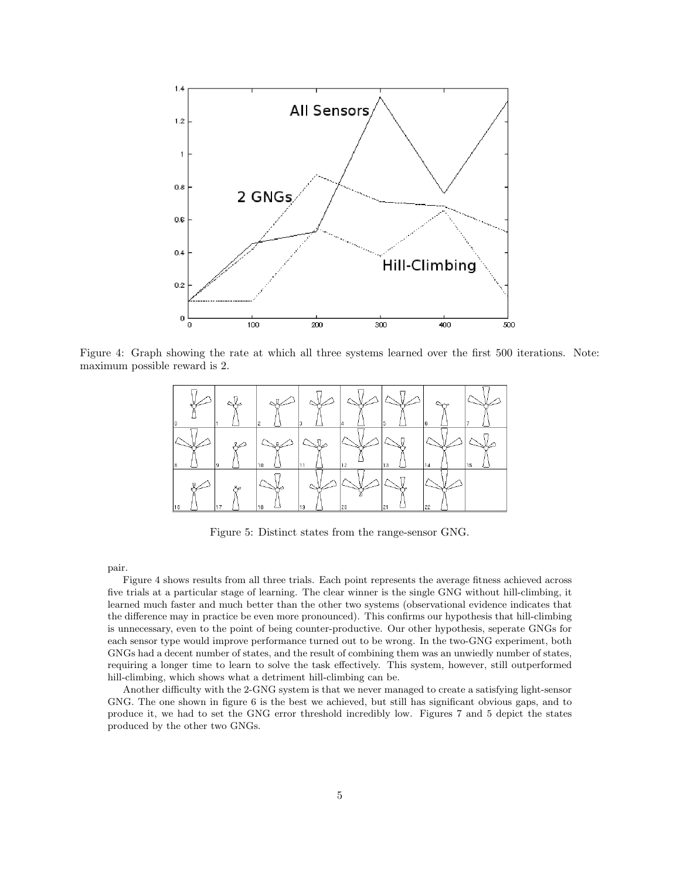

Figure 4: Graph showing the rate at which all three systems learned over the first 500 iterations. Note: maximum possible reward is 2.



Figure 5: Distinct states from the range-sensor GNG.

pair.

Figure 4 shows results from all three trials. Each point represents the average fitness achieved across five trials at a particular stage of learning. The clear winner is the single GNG without hill-climbing, it learned much faster and much better than the other two systems (observational evidence indicates that the difference may in practice be even more pronounced). This confirms our hypothesis that hill-climbing is unnecessary, even to the point of being counter-productive. Our other hypothesis, seperate GNGs for each sensor type would improve performance turned out to be wrong. In the two-GNG experiment, both GNGs had a decent number of states, and the result of combining them was an unwiedly number of states, requiring a longer time to learn to solve the task effectively. This system, however, still outperformed hill-climbing, which shows what a detriment hill-climbing can be.

Another difficulty with the 2-GNG system is that we never managed to create a satisfying light-sensor GNG. The one shown in figure 6 is the best we achieved, but still has significant obvious gaps, and to produce it, we had to set the GNG error threshold incredibly low. Figures 7 and 5 depict the states produced by the other two GNGs.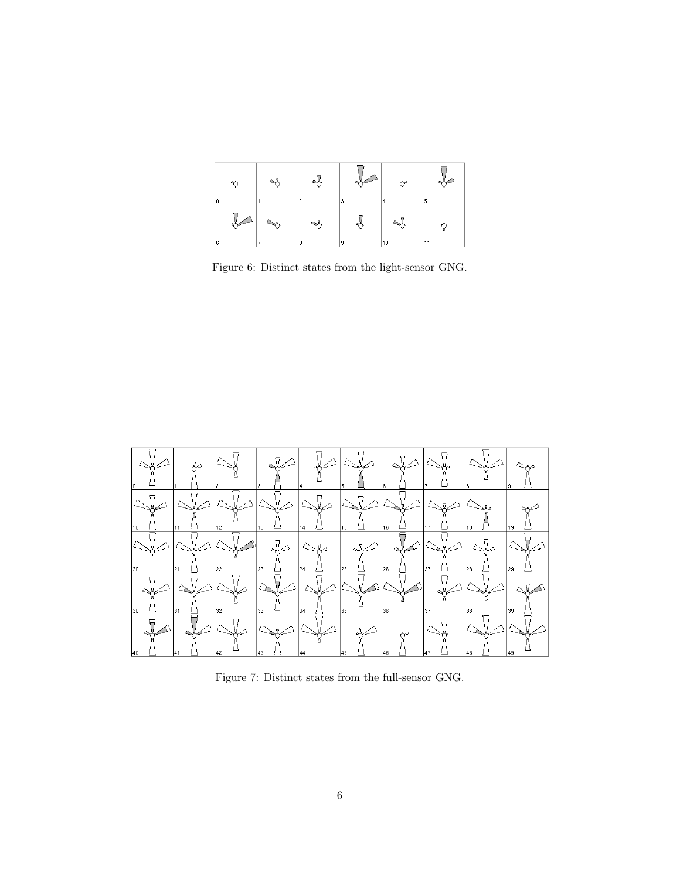|    | ಿ | ∾  | Ł  |    | ᢤ  | $\rightarrow$ |
|----|---|----|----|----|----|---------------|
| ١c |   |    |    |    | ı  |               |
|    |   | ↘٩ | Ŋ  | 99 | T  |               |
| 6  |   |    | 18 | 19 | 10 | -11           |

Figure 6: Distinct states from the light-sensor GNG.



Figure 7: Distinct states from the full-sensor GNG.